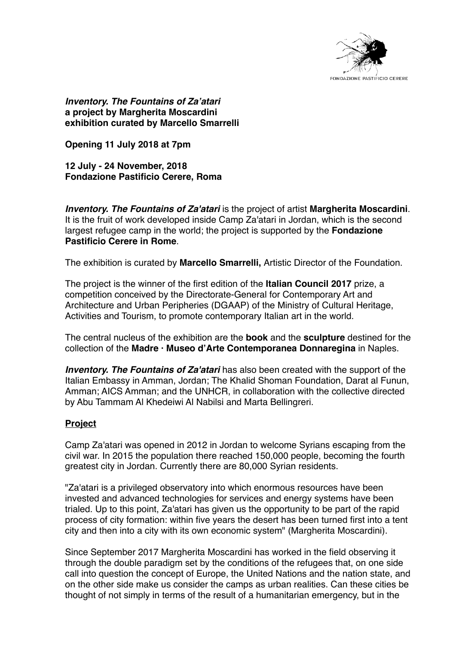

*Inventory. The Fountains of Za'atari* **a project by Margherita Moscardini exhibition curated by Marcello Smarrelli**

**Opening 11 July 2018 at 7pm**

**12 July - 24 November, 2018 Fondazione Pastificio Cerere, Roma**

*Inventory. The Fountains of Za'atari* is the project of artist **Margherita Moscardini**. It is the fruit of work developed inside Camp Za'atari in Jordan, which is the second largest refugee camp in the world; the project is supported by the **Fondazione Pastificio Cerere in Rome**.

The exhibition is curated by **Marcello Smarrelli,** Artistic Director of the Foundation.

The project is the winner of the first edition of the **Italian Council 2017** prize, a competition conceived by the Directorate-General for Contemporary Art and Architecture and Urban Peripheries (DGAAP) of the Ministry of Cultural Heritage, Activities and Tourism, to promote contemporary Italian art in the world.

The central nucleus of the exhibition are the **book** and the **sculpture** destined for the collection of the **Madre · Museo d'Arte Contemporanea Donnaregina** in Naples.

*Inventory. The Fountains of Za'atari* has also been created with the support of the Italian Embassy in Amman, Jordan; The Khalid Shoman Foundation, Darat al Funun, Amman; AICS Amman; and the UNHCR, in collaboration with the collective directed by Abu Tammam Al Khedeiwi Al Nabilsi and Marta Bellingreri.

## **Project**

Camp Za'atari was opened in 2012 in Jordan to welcome Syrians escaping from the civil war. In 2015 the population there reached 150,000 people, becoming the fourth greatest city in Jordan. Currently there are 80,000 Syrian residents.

"Za'atari is a privileged observatory into which enormous resources have been invested and advanced technologies for services and energy systems have been trialed. Up to this point, Za'atari has given us the opportunity to be part of the rapid process of city formation: within five years the desert has been turned first into a tent city and then into a city with its own economic system" (Margherita Moscardini).

Since September 2017 Margherita Moscardini has worked in the field observing it through the double paradigm set by the conditions of the refugees that, on one side call into question the concept of Europe, the United Nations and the nation state, and on the other side make us consider the camps as urban realities. Can these cities be thought of not simply in terms of the result of a humanitarian emergency, but in the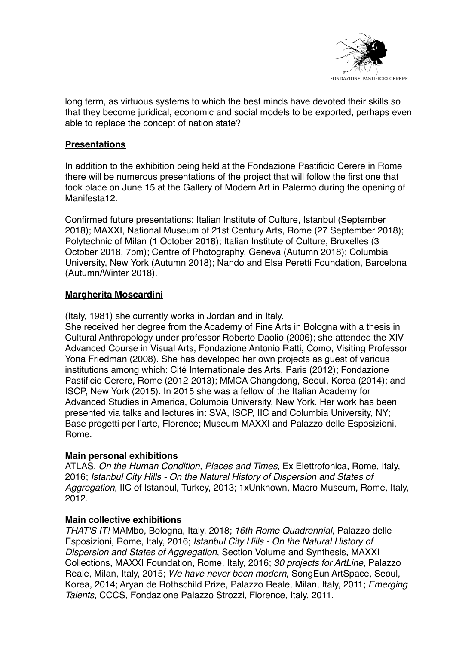

long term, as virtuous systems to which the best minds have devoted their skills so that they become juridical, economic and social models to be exported, perhaps even able to replace the concept of nation state?

# **Presentations**

In addition to the exhibition being held at the Fondazione Pastificio Cerere in Rome there will be numerous presentations of the project that will follow the first one that took place on June 15 at the Gallery of Modern Art in Palermo during the opening of Manifesta12.

Confirmed future presentations: Italian Institute of Culture, Istanbul (September 2018); MAXXI, National Museum of 21st Century Arts, Rome (27 September 2018); Polytechnic of Milan (1 October 2018); Italian Institute of Culture, Bruxelles (3 October 2018, 7pm); Centre of Photography, Geneva (Autumn 2018); Columbia University, New York (Autumn 2018); Nando and Elsa Peretti Foundation, Barcelona (Autumn/Winter 2018).

# **Margherita Moscardini**

(Italy, 1981) she currently works in Jordan and in Italy.

She received her degree from the Academy of Fine Arts in Bologna with a thesis in Cultural Anthropology under professor Roberto Daolio (2006); she attended the XIV Advanced Course in Visual Arts, Fondazione Antonio Ratti, Como, Visiting Professor Yona Friedman (2008). She has developed her own projects as guest of various institutions among which: Cité Internationale des Arts, Paris (2012); Fondazione Pastificio Cerere, Rome (2012-2013); MMCA Changdong, Seoul, Korea (2014); and ISCP, New York (2015). In 2015 she was a fellow of the Italian Academy for Advanced Studies in America, Columbia University, New York. Her work has been presented via talks and lectures in: SVA, ISCP, IIC and Columbia University, NY; Base progetti per l'arte, Florence; Museum MAXXI and Palazzo delle Esposizioni, Rome.

## **Main personal exhibitions**

ATLAS. *On the Human Condition, Places and Times*, Ex Elettrofonica, Rome, Italy, 2016; *Istanbul City Hills - On the Natural History of Dispersion and States of Aggregation*, IIC of Istanbul, Turkey, 2013; 1xUnknown, Macro Museum, Rome, Italy, 2012.

## **Main collective exhibitions**

*THAT'S IT!* MAMbo, Bologna, Italy, 2018; *16th Rome Quadrennial*, Palazzo delle Esposizioni, Rome, Italy, 2016; *Istanbul City Hills - On the Natural History of Dispersion and States of Aggregation*, Section Volume and Synthesis, MAXXI Collections, MAXXI Foundation, Rome, Italy, 2016; *30 projects for ArtLine*, Palazzo Reale, Milan, Italy, 2015; *We have never been modern*, SongEun ArtSpace, Seoul, Korea, 2014; Aryan de Rothschild Prize, Palazzo Reale, Milan, Italy, 2011; *Emerging Talents*, CCCS, Fondazione Palazzo Strozzi, Florence, Italy, 2011.